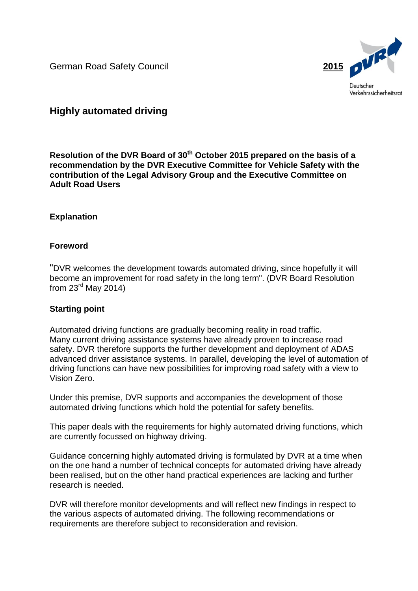

# **Highly automated driving**

**Resolution of the DVR Board of 30th October 2015 prepared on the basis of a recommendation by the DVR Executive Committee for Vehicle Safety with the contribution of the Legal Advisory Group and the Executive Committee on Adult Road Users**

# **Explanation**

# **Foreword**

"DVR welcomes the development towards automated driving, since hopefully it will become an improvement for road safety in the long term". (DVR Board Resolution from  $23<sup>rd</sup>$  May 2014)

# **Starting point**

Automated driving functions are gradually becoming reality in road traffic. Many current driving assistance systems have already proven to increase road safety. DVR therefore supports the further development and deployment of ADAS advanced driver assistance systems. In parallel, developing the level of automation of driving functions can have new possibilities for improving road safety with a view to Vision Zero.

Under this premise, DVR supports and accompanies the development of those automated driving functions which hold the potential for safety benefits.

This paper deals with the requirements for highly automated driving functions, which are currently focussed on highway driving.

Guidance concerning highly automated driving is formulated by DVR at a time when on the one hand a number of technical concepts for automated driving have already been realised, but on the other hand practical experiences are lacking and further research is needed.

DVR will therefore monitor developments and will reflect new findings in respect to the various aspects of automated driving. The following recommendations or requirements are therefore subject to reconsideration and revision.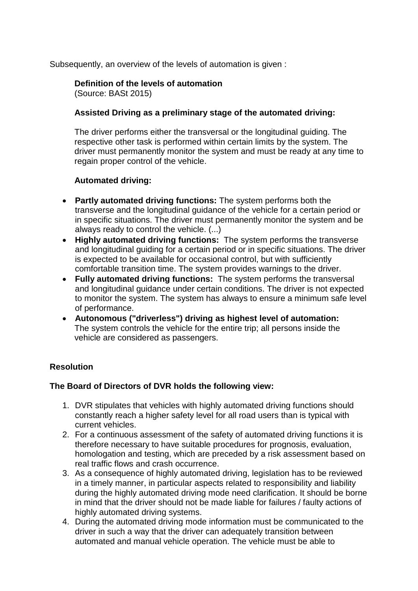Subsequently, an overview of the levels of automation is given :

## **Definition of the levels of automation** (Source: BASt 2015)

## **Assisted Driving as a preliminary stage of the automated driving:**

The driver performs either the transversal or the longitudinal guiding. The respective other task is performed within certain limits by the system. The driver must permanently monitor the system and must be ready at any time to regain proper control of the vehicle.

## **Automated driving:**

- **Partly automated driving functions:** The system performs both the transverse and the longitudinal guidance of the vehicle for a certain period or in specific situations. The driver must permanently monitor the system and be always ready to control the vehicle. (...)
- **Highly automated driving functions:** The system performs the transverse and longitudinal guiding for a certain period or in specific situations. The driver is expected to be available for occasional control, but with sufficiently comfortable transition time. The system provides warnings to the driver.
- **Fully automated driving functions:** The system performs the transversal and longitudinal guidance under certain conditions. The driver is not expected to monitor the system. The system has always to ensure a minimum safe level of performance.
- **Autonomous ("driverless") driving as highest level of automation:**  The system controls the vehicle for the entire trip; all persons inside the vehicle are considered as passengers.

# **Resolution**

#### **The Board of Directors of DVR holds the following view:**

- 1. DVR stipulates that vehicles with highly automated driving functions should constantly reach a higher safety level for all road users than is typical with current vehicles.
- 2. For a continuous assessment of the safety of automated driving functions it is therefore necessary to have suitable procedures for prognosis, evaluation, homologation and testing, which are preceded by a risk assessment based on real traffic flows and crash occurrence.
- 3. As a consequence of highly automated driving, legislation has to be reviewed in a timely manner, in particular aspects related to responsibility and liability during the highly automated driving mode need clarification. It should be borne in mind that the driver should not be made liable for failures / faulty actions of highly automated driving systems.
- 4. During the automated driving mode information must be communicated to the driver in such a way that the driver can adequately transition between automated and manual vehicle operation. The vehicle must be able to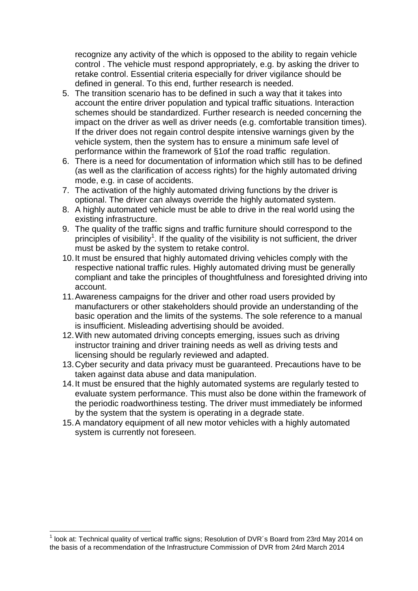recognize any activity of the which is opposed to the ability to regain vehicle control . The vehicle must respond appropriately, e.g. by asking the driver to retake control. Essential criteria especially for driver vigilance should be defined in general. To this end, further research is needed.

- 5. The transition scenario has to be defined in such a way that it takes into account the entire driver population and typical traffic situations. Interaction schemes should be standardized. Further research is needed concerning the impact on the driver as well as driver needs (e.g. comfortable transition times). If the driver does not regain control despite intensive warnings given by the vehicle system, then the system has to ensure a minimum safe level of performance within the framework of §1of the road traffic regulation.
- 6. There is a need for documentation of information which still has to be defined (as well as the clarification of access rights) for the highly automated driving mode, e.g. in case of accidents.
- 7. The activation of the highly automated driving functions by the driver is optional. The driver can always override the highly automated system.
- 8. A highly automated vehicle must be able to drive in the real world using the existing infrastructure.
- 9. The quality of the traffic signs and traffic furniture should correspond to the principles of visibility<sup>1</sup>. If the quality of the visibility is not sufficient, the driver must be asked by the system to retake control.
- 10.It must be ensured that highly automated driving vehicles comply with the respective national traffic rules. Highly automated driving must be generally compliant and take the principles of thoughtfulness and foresighted driving into account.
- 11.Awareness campaigns for the driver and other road users provided by manufacturers or other stakeholders should provide an understanding of the basic operation and the limits of the systems. The sole reference to a manual is insufficient. Misleading advertising should be avoided.
- 12.With new automated driving concepts emerging, issues such as driving instructor training and driver training needs as well as driving tests and licensing should be regularly reviewed and adapted.
- 13.Cyber security and data privacy must be guaranteed. Precautions have to be taken against data abuse and data manipulation.
- 14.It must be ensured that the highly automated systems are regularly tested to evaluate system performance. This must also be done within the framework of the periodic roadworthiness testing. The driver must immediately be informed by the system that the system is operating in a degrade state.
- 15.A mandatory equipment of all new motor vehicles with a highly automated system is currently not foreseen.

 1 look at: Technical quality of vertical traffic signs; Resolution of DVR´s Board from 23rd May 2014 on the basis of a recommendation of the Infrastructure Commission of DVR from 24rd March 2014